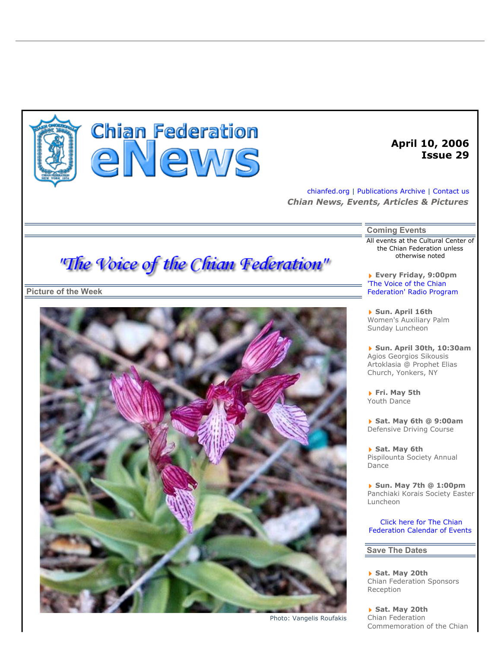

# **Chian Federation** eNews

# **April 10, 2006 Issue 29**

chianfed.org | Publications Archive | Contact us *Chian News, Events, Articles & Pictures* 

**Coming Events** 

All events at the Cultural Center of the Chian Federation unless otherwise noted

**Every Friday, 9:00pm** 'The Voice of the Chian Federation' Radio Program

**Sun. April 16th** Women's Auxiliary Palm Sunday Luncheon

**Sun. April 30th, 10:30am** Agios Georgios Sikousis Artoklasia @ Prophet Elias Church, Yonkers, NY

**Fri. May 5th** Youth Dance

**Sat. May 6th @ 9:00am** Defensive Driving Course

**Sat. May 6th** Pispilounta Society Annual Dance

**Sun. May 7th @ 1:00pm** Panchiaki Korais Society Easter Luncheon

 Click here for The Chian Federation Calendar of Events

## **Save The Dates**

**Sat. May 20th** Chian Federation Sponsors Reception

**Sat. May 20th** Chian Federation Commemoration of the Chian

"The Voice of the Chian Federation"

**Picture of the Week** 



Photo: Vangelis Roufakis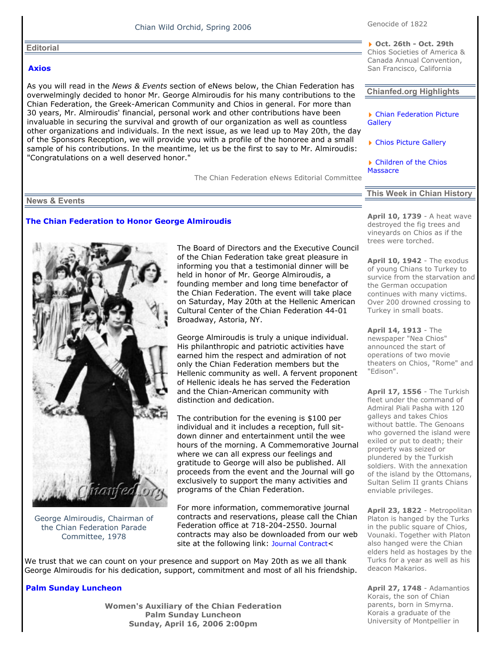## Chian Wild Orchid, Spring 2006

#### **Editorial**

#### **Axios**

As you will read in the *News & Events* section of eNews below, the Chian Federation has overwelmingly decided to honor Mr. George Almiroudis for his many contributions to the Chian Federation, the Greek-American Community and Chios in general. For more than 30 years, Mr. Almiroudis' financial, personal work and other contributions have been invaluable in securing the survival and growth of our organization as well as countless other organizations and individuals. In the next issue, as we lead up to May 20th, the day of the Sponsors Reception, we will provide you with a profile of the honoree and a small sample of his contributions. In the meantime, let us be the first to say to Mr. Almiroudis: "Congratulations on a well deserved honor."

The Chian Federation eNews Editorial Committee

**Chianfed.org Highlights** 

▶ Chian Federation Picture **Gallery** 

**Oct. 26th - Oct. 29th** Chios Societies of America & Canada Annual Convention, San Francisco, California

▶ Chios Picture Gallery

▶ Children of the Chios **Massacre** 

#### **News & Events**

#### **The Chian Federation to Honor George Almiroudis**



George Almiroudis, Chairman of the Chian Federation Parade Committee, 1978

The Board of Directors and the Executive Council of the Chian Federation take great pleasure in informing you that a testimonial dinner will be held in honor of Mr. George Almiroudis, a founding member and long time benefactor of the Chian Federation. The event will take place on Saturday, May 20th at the Hellenic American Cultural Center of the Chian Federation 44-01 Broadway, Astoria, NY.

George Almiroudis is truly a unique individual. His philanthropic and patriotic activities have earned him the respect and admiration of not only the Chian Federation members but the Hellenic community as well. A fervent proponent of Hellenic ideals he has served the Federation and the Chian-American community with distinction and dedication.

The contribution for the evening is \$100 per individual and it includes a reception, full sitdown dinner and entertainment until the wee hours of the morning. A Commemorative Journal where we can all express our feelings and gratitude to George will also be published. All proceeds from the event and the Journal will go exclusively to support the many activities and programs of the Chian Federation.

For more information, commemorative journal contracts and reservations, please call the Chian Federation office at 718-204-2550. Journal contracts may also be downloaded from our web site at the following link: Journal Contract<

We trust that we can count on your presence and support on May 20th as we all thank George Almiroudis for his dedication, support, commitment and most of all his friendship.

#### **Palm Sunday Luncheon**

**Women's Auxiliary of the Chian Federation Palm Sunday Luncheon Sunday, April 16, 2006 2:00pm** 

**This Week in Chian History** 

**April 10, 1739** - A heat wave destroyed the fig trees and vineyards on Chios as if the trees were torched.

**April 10, 1942** - The exodus of young Chians to Turkey to survice from the starvation and the German occupation continues with many victims. Over 200 drowned crossing to Turkey in small boats.

**April 14, 1913** - The newspaper "Nea Chios" announced the start of operations of two movie theaters on Chios, "Rome" and "Edison".

**April 17, 1556** - The Turkish fleet under the command of Admiral Piali Pasha with 120 galleys and takes Chios without battle. The Genoans who governed the island were exiled or put to death; their property was seized or plundered by the Turkish soldiers. With the annexation of the island by the Ottomans, Sultan Selim II grants Chians enviable privileges.

**April 23, 1822** - Metropolitan Platon is hanged by the Turks in the public square of Chios, Vounaki. Together with Platon also hanged were the Chian elders held as hostages by the Turks for a year as well as his deacon Makarios.

**April 27, 1748** - Adamantios Korais, the son of Chian parents, born in Smyrna. Korais a graduate of the University of Montpellier in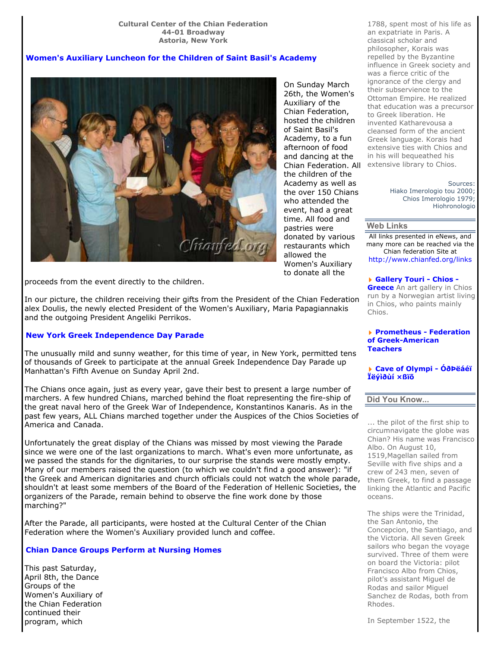## **Women's Auxiliary Luncheon for the Children of Saint Basil's Academy**



On Sunday March 26th, the Women's Auxiliary of the Chian Federation, hosted the children of Saint Basil's Academy, to a fun afternoon of food and dancing at the Chian Federation. All extensive library to Chios. the children of the Academy as well as the over 150 Chians who attended the event, had a great time. All food and pastries were donated by various restaurants which allowed the Women's Auxiliary to donate all the

proceeds from the event directly to the children.

In our picture, the children receiving their gifts from the President of the Chian Federation alex Doulis, the newly elected President of the Women's Auxiliary, Maria Papagiannakis and the outgoing President Angeliki Perrikos.

## **New York Greek Independence Day Parade**

The unusually mild and sunny weather, for this time of year, in New York, permitted tens of thousands of Greek to participate at the annual Greek Independence Day Parade up Manhattan's Fifth Avenue on Sunday April 2nd.

The Chians once again, just as every year, gave their best to present a large number of marchers. A few hundred Chians, marched behind the float representing the fire-ship of the great naval hero of the Greek War of Independence, Konstantinos Kanaris. As in the past few years, ALL Chians marched together under the Auspices of the Chios Societies of America and Canada.

Unfortunately the great display of the Chians was missed by most viewing the Parade since we were one of the last organizations to march. What's even more unfortunate, as we passed the stands for the dignitaries, to our surprise the stands were mostly empty. Many of our members raised the question (to which we couldn't find a good answer): "if the Greek and American dignitaries and church officials could not watch the whole parade, shouldn't at least some members of the Board of the Federation of Hellenic Societies, the organizers of the Parade, remain behind to observe the fine work done by those marching?"

After the Parade, all participants, were hosted at the Cultural Center of the Chian Federation where the Women's Auxiliary provided lunch and coffee.

## **Chian Dance Groups Perform at Nursing Homes**

This past Saturday, April 8th, the Dance Groups of the Women's Auxiliary of the Chian Federation continued their program, which

1788, spent most of his life as an expatriate in Paris. A classical scholar and philosopher, Korais was repelled by the Byzantine influence in Greek society and was a fierce critic of the ignorance of the clergy and their subservience to the Ottoman Empire. He realized that education was a precursor to Greek liberation. He invented Katharevousa a cleansed form of the ancient Greek language. Korais had extensive ties with Chios and in his will bequeathed his

> Sources: Hiako Imerologio tou 2000; Chios Imerologio 1979; Hiohronologio

#### **Web Links**

All links presented in eNews, and many more can be reached via the Chian federation Site at http://www.chianfed.org/links

**Gallery Touri - Chios - Greece** An art gallery in Chios run by a Norwegian artist living in Chios, who paints mainly Chios.

**Prometheus - Federation of Greek-American Teachers**

**Cave of Olympi - ÓðÞëáéï Ïëýìðùí ×ßïõ**

#### **Did You Know...**

... the pilot of the first ship to circumnavigate the globe was Chian? His name was Francisco Albo. On August 10, 1519,Magellan sailed from Seville with five ships and a crew of 243 men, seven of them Greek, to find a passage linking the Atlantic and Pacific oceans.

The ships were the Trinidad, the San Antonio, the Concepcion, the Santiago, and the Victoria. All seven Greek sailors who began the voyage survived. Three of them were on board the Victoria: pilot Francisco Albo from Chios, pilot's assistant Miguel de Rodas and sailor Miguel Sanchez de Rodas, both from Rhodes.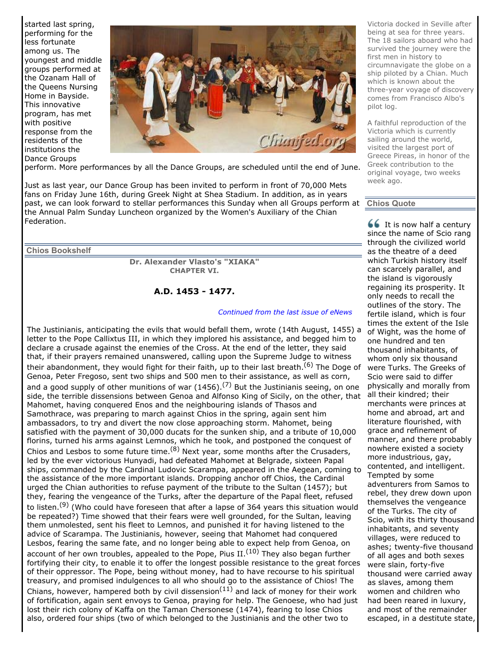started last spring, performing for the less fortunate among us. The youngest and middle groups performed at the Ozanam Hall of the Queens Nursing Home in Bayside. This innovative program, has met with positive response from the residents of the institutions the Dance Groups



perform. More performances by all the Dance Groups, are scheduled until the end of June.

Just as last year, our Dance Group has been invited to perform in front of 70,000 Mets fans on Friday June 16th, during Greek Night at Shea Stadium. In addition, as in years past, we can look forward to stellar performances this Sunday when all Groups perform at the Annual Palm Sunday Luncheon organized by the Women's Auxiliary of the Chian Federation.

**Chios Bookshelf** 

**Dr. Alexander Vlasto's "XIAKA" CHAPTER VI.** 

## **A.D. 1453 - 1477.**

#### *Continued from the last issue of eNews*

The Justinianis, anticipating the evils that would befall them, wrote (14th August, 1455) a letter to the Pope Callixtus III, in which they implored his assistance, and begged him to declare a crusade against the enemies of the Cross. At the end of the letter, they said that, if their prayers remained unanswered, calling upon the Supreme Judge to witness their abandonment, they would fight for their faith, up to their last breath.<sup>(6)</sup> The Doge of Genoa, Peter Fregoso, sent two ships and 500 men to their assistance, as well as corn, and a good supply of other munitions of war (1456).<sup>(7)</sup> But the Justinianis seeing, on one side, the terrible dissensions between Genoa and Alfonso King of Sicily, on the other, that Mahomet, having conquered Enos and the neighbouring islands of Thasos and Samothrace, was preparing to march against Chios in the spring, again sent him ambassadors, to try and divert the now close approaching storm. Mahomet, being satisfied with the payment of 30,000 ducats for the sunken ship, and a tribute of 10,000 florins, turned his arms against Lemnos, which he took, and postponed the conquest of Chios and Lesbos to some future time.<sup>(8)</sup> Next year, some months after the Crusaders, led by the ever victorious Hunyadi, had defeated Mahomet at Belgrade, sixteen Papal ships, commanded by the Cardinal Ludovic Scarampa, appeared in the Aegean, coming to the assistance of the more important islands. Dropping anchor off Chios, the Cardinal urged the Chian authorities to refuse payment of the tribute to the Sultan (1457); but they, fearing the vengeance of the Turks, after the departure of the Papal fleet, refused to listen.<sup>(9)</sup> (Who could have foreseen that after a lapse of 364 years this situation would be repeated?) Time showed that their fears were well grounded, for the Sultan, leaving them unmolested, sent his fleet to Lemnos, and punished it for having listened to the advice of Scarampa. The Justinianis, however, seeing that Mahomet had conquered Lesbos, fearing the same fate, and no longer being able to expect help from Genoa, on account of her own troubles, appealed to the Pope, Pius  $II.(10)$  They also began further fortifying their city, to enable it to offer the longest possible resistance to the great forces of their oppressor. The Pope, being without money, had to have recourse to his spiritual treasury, and promised indulgences to all who should go to the assistance of Chios! The Chians, however, hampered both by civil dissension<sup>(11)</sup> and lack of money for their work of fortification, again sent envoys to Genoa, praying for help. The Genoese, who had just lost their rich colony of Kaffa on the Taman Chersonese (1474), fearing to lose Chios also, ordered four ships (two of which belonged to the Justinianis and the other two to

Victoria docked in Seville after being at sea for three years. The 18 sailors aboard who had survived the journey were the first men in history to circumnavigate the globe on a ship piloted by a Chian. Much which is known about the three-year voyage of discovery comes from Francisco Albo's pilot log.

A faithful reproduction of the Victoria which is currently sailing around the world, visited the largest port of Greece Pireas, in honor of the Greek contribution to the original voyage, two weeks week ago.

#### **Chios Quote**

 $66$  It is now half a century since the name of Scio rang through the civilized world as the theatre of a deed which Turkish history itself can scarcely parallel, and the island is vigorously regaining its prosperity. It only needs to recall the outlines of the story. The fertile island, which is four times the extent of the Isle of Wight, was the home of one hundred and ten thousand inhabitants, of whom only six thousand were Turks. The Greeks of Scio were said to differ physically and morally from all their kindred; their merchants were princes at home and abroad, art and literature flourished, with grace and refinement of manner, and there probably nowhere existed a society more industrious, gay, contented, and intelligent. Tempted by some adventurers from Samos to rebel, they drew down upon themselves the vengeance of the Turks. The city of Scio, with its thirty thousand inhabitants, and seventy villages, were reduced to ashes; twenty-five thousand of all ages and both sexes were slain, forty-five thousand were carried away as slaves, among them women and children who had been reared in luxury, and most of the remainder escaped, in a destitute state,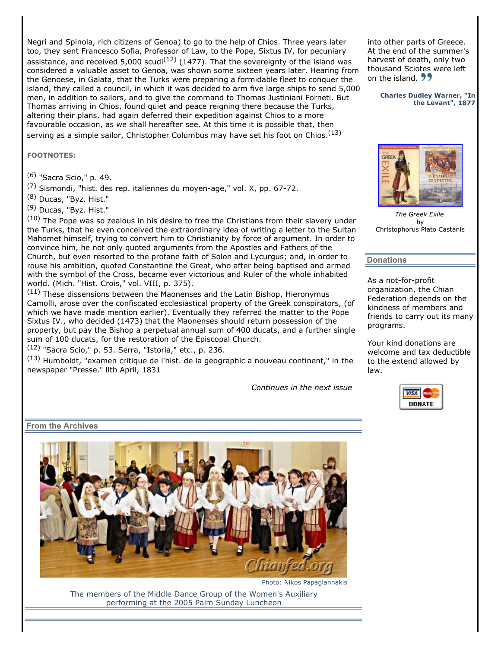Negri and Spinola, rich citizens of Genoa) to go to the help of Chios. Three years later too, they sent Francesco Sofia, Professor of Law, to the Pope, Sixtus IV, for pecuniary assistance, and received 5,000 scudi<sup>(12)</sup> (1477). That the sovereignty of the island was considered a valuable asset to Genoa, was shown some sixteen years later. Hearing from the Genoese, in Galata, that the Turks were preparing a formidable fleet to conquer the island, they called a council, in which it was decided to arm five large ships to send 5,000 men, in addition to sailors, and to give the command to Thomas Justiniani Forneti. But Thomas arriving in Chios, found quiet and peace reigning there because the Turks, altering their plans, had again deferred their expedition against Chios to a more favourable occasion, as we shall hereafter see. At this time it is possible that, then serving as a simple sailor, Christopher Columbus may have set his foot on Chios.<sup>(13)</sup>

**FOOTNOTES:**

(6) "Sacra Scio," p. 49.

 $(7)$  Sismondi, "hist. des rep. italiennes du moyen-age," vol. X, pp. 67-72.

(8) Ducas, "Byz. Hist."

(9) Ducas, "Byz. Hist."

(10) The Pope was so zealous in his desire to free the Christians from their slavery under the Turks, that he even conceived the extraordinary idea of writing a letter to the Sultan Mahomet himself, trying to convert him to Christianity by force of argument. In order to convince him, he not only quoted arguments from the Apostles and Fathers of the Church, but even resorted to the profane faith of Solon and Lycurgus; and, in order to rouse his ambition, quoted Constantine the Great, who after being baptised and armed with the symbol of the Cross, became ever victorious and Ruler of the whole inhabited world. (Mich. "Hist. Crois," vol. VIII, p. 375).

 $(11)$  These dissensions between the Maonenses and the Latin Bishop, Hieronymus Camolli, arose over the confiscated ecclesiastical property of the Greek conspirators, (of which we have made mention earlier). Eventually they referred the matter to the Pope Sixtus IV., who decided (1473) that the Maonenses should return possession of the property, but pay the Bishop a perpetual annual sum of 400 ducats, and a further single sum of 100 ducats, for the restoration of the Episcopal Church.

 $(12)$  "Sacra Scio," p. 53. Serra, "Istoria," etc., p. 236.

 $(13)$  Humboldt, "examen critique de l'hist. de la geographic a nouveau continent," in the newspaper "Presse." llth April, 1831

*Continues in the next issue*

into other parts of Greece. At the end of the summer's harvest of death, only two thousand Sciotes were left on the island. 22

> **Charles Dudley Warner, "In the Levant", 1877**



*The Greek Exile* by Christophorus Plato Castanis

## **Donations**

As a not-for-profit organization, the Chian Federation depends on the kindness of members and friends to carry out its many programs.

Your kind donations are welcome and tax deductible to the extend allowed by law.



**From the Archives** 



Photo: Nikos Papagiannakis

The members of the Middle Dance Group of the Women's Auxiliary performing at the 2005 Palm Sunday Luncheon